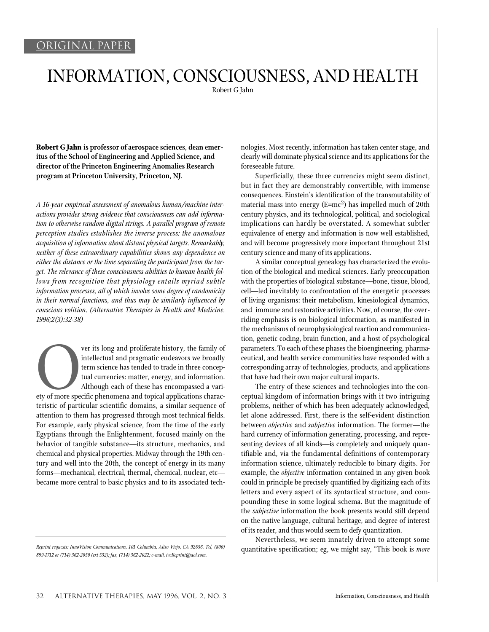# ORIGINAL PAPER

## INFORMATION, CONSCIOUSNESS, AND HEALTH Robert G Jahn

**Robert G Jahn is professor of aerospace sciences, dean emeritus of the School of Engineering and Applied Science, and director of the Princeton Engineering Anomalies Research program at Princeton University, Princeton, NJ.**

*A 16-year empirical assessment of anomalous human/machine interactions provides strong evidence that consciousness can add informa*tion to otherwise random digital strings. A parallel program of remote *p e rception studies establishes the inverse process: the anomalous acquisition of information about distant physical targets. Remarkably, neither of these extra ordinary capabilities shows any dependence on either the distance or the time separating the participant from the tar*get. The relevance of these consciousness abilities to human health follows from recognition that physiology entails myriad subtle *information processes, all of which involve some degree of randomicity in their normal functions, and thus may be similarly influenced by conscious volition. (Alternative Therapies in Health and Medicine. 19 96 ; 2 ( 3 ) : 3 2-3 8 )*

ety of more spe ver its long and proliferate histor y, the family of intellectual and pragmatic endeavors we broadly term science has tended to trade in three conceptual currencies: matter, energy, and information. Although each of these has encompassed a variety of more specific phenomena and topical applications characteristic of particular scientific domains, a similar sequence of attention to them has progressed through most technical fields. For example, early physical science, from the time of the early Egyptians through the Enlightenment, focused mainly on the behavior of tangible substance—its structure, mechanics, and chemical and physical properties. Midway through the 19th century and well into the 20th, the concept of energy in its many forms—mechanical, electrical, thermal, chemical, nuclear, etc became more central to basic physics and to its associated tech-

*Reprint requests: InnoVision Communications, 101 Columbia, Aliso Viejo, CA 92656. Tel, (800) 899-1712 or (714) 362-2050 (ext 532); fax, (714) 362-2022; e-mail, ivcReprint@aol.com.*

nologies. Most recently, information has taken center stage, and clearly will dominate physical science and its applications for the foreseeable future.

Superficially, these three currencies might seem distinct, but in fact they are demonstrably convertible, with immense consequences. Einstein's identification of the transmutability of material mass into energy (E=mc $^2$ ) has impelled much of 20th century physics, and its technological, political, and sociological implications can hardly be overstated. A somewhat subtler equivalence of energy and information is now well established, and will become progressively more important throughout 21st century science and many of its applications.

A similar conceptual genealogy has characterized the evolution of the biological and medical sciences. Early preoccupation with the properties of biological substance—bone, tissue, blood, cell-led inevitably to confrontation of the energetic processes of living organisms: their metabolism, kinesiological dynamics, and immune and restorative activities. Now, of course, the overriding emphasis is on biological information, as manifested in the mechanisms of neurophysiological reaction and communication, genetic coding, brain function, and a host of psychological parameters. To each of these phases the bioengineering, pharmaceutical, and health service communities have responded with a corresponding array of technologies, products, and applications that have had their own major cultural impacts.

The entry of these sciences and technologies into the conceptual kingdom of information brings with it two intriguing problems, neither of which has been adequately acknowledged, let alone addressed. First, there is the self-evident distinction between *objective* and *subjective* information. The former—the hard currency of information generating, processing, and representing devices of all kinds—is completely and uniquely quantifiable and, via the fundamental definitions of contemporary information science, ultimately reducible to binary digits. For example, the *objective* information contained in any given book could in principle be precisely quantified by digitizing each of its letters and every aspect of its syntactical structure, and compounding these in some logical schema. But the magnitude of the *subjective* information the book presents would still depend on the native language, cultural heritage, and degree of interest of its reader, and thus would seem to defy quantization.

Nevertheless, we seem innately driven to attempt some quantitative specification; eg, we might say, "This book is *more*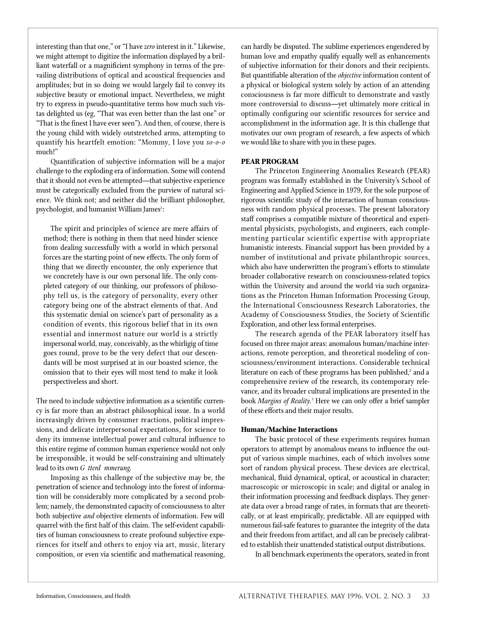interesting than that one," or "I have *zero* interest in it." Likewise, we might attempt to digitize the information displayed by a brilliant waterfall or a magnificient symphony in terms of the prevailing distributions of optical and acoustical frequencies and amplitudes; but in so doing we would largely fail to convey its subjective beauty or emotional impact. Nevertheless, we might try to express in pseudo-quantitative terms how much such vistas delighted us (eg, "That was even better than the last one" or "That is the finest I have ever seen"). And then, of course, there is the young child with widely outstretched arms, attempting to quantify his heartfelt emotion: "Mommy, I love you  $so-oo$ much!"

Quantification of subjective information will be a major challenge to the exploding era of information. Some will contend that it should not even be attempted—that subjective experience must be categorically excluded from the purview of natural science. We think not; and neither did the brilliant philosopher, psychologist, and humanist William James<sup>1</sup>:

The spirit and principles of science are mere affairs of method; there is nothing in them that need hinder science from dealing successfully with a world in which personal forces are the starting point of new effects. The only form of thing that we directly encounter, the only experience that we concretely have is our own personal life. The only completed category of our thinking, our professors of philosophy tell us, is the category of personality, every other category being one of the abstract elements of that. And this systematic denial on science's part of personality as a condition of events, this rigorous belief that in its own essential and innermost nature our world is a strictly impersonal world, may, conceivably, as the whirligig of time goes round, prove to be the very defect that our descendants will be most surprised at in our boasted science, the omission that to their eyes will most tend to make it look perspectiveless and short.

The need to include subjective information as a scientific currency is far more than an abstract philosophical issue. In a world increasingly driven by consumer reactions, political impressions, and delicate interpersonal expectations, for science to deny its immense intellectual power and cultural influence to this entire regime of common human experience would not only be irresponsible, it would be self-constraining and ultimately lead to its own *G* tterd mmerung.

Imposing as this challenge of the subjective may be, the penetration of science and technology into the forest of information will be considerably more complicated by a second problem; namely, the demonstrated capacity of consciousness to alter both subjective *and* objective elements of information. Few will quarrel with the first half of this claim. The self-evident capabilities of human consciousness to create profound subjective experiences for itself and others to enjoy via art, music, literary composition, or even via scientific and mathematical reasoning,

can hardly be disputed. The sublime experiences engendered by human love and empathy qualify equally well as enhancements of subjective information for their donors and their recipients. But quantifiable alteration of the *objective* information content of a physical or biological system solely by action of an attending consciousness is far more difficult to demonstrate and vastly more controversial to discuss—yet ultimately more critical in optimally configuring our scientific resources for service and accomplishment in the information age. It is this challenge that motivates our own program of research, a few aspects of which we would like to share with you in these pages.

### **PEAR PROGRAM**

The Princeton Engineering Anomalies Research (PEAR) program was formally established in the University's School of Engineering and Applied Science in 1979, for the sole purpose of rigorous scientific study of the interaction of human consciousness with random physical processes. The present laboratory staff comprises a compatible mixture of theoretical and experimental physicists, psychologists, and engineers, each complementing particular scientific expertise with appropriate humanistic interests. Financial support has been provided by a number of institutional and private philanthropic sources, which also have underwritten the program's efforts to stimulate broader collaborative research on consciousness-related topics within the University and around the world via such organizations as the Princeton Human Information Processing Group, the International Consciousness Research Laboratories, the Academy of Consciousness Studies, the Society of Scientific Exploration, and other less formal enterprises.

The research agenda of the PEAR laboratory itself has focused on three major areas: anomalous human/machine interactions, remote perception, and theoretical modeling of consciousness/environment interactions. Considerable technical literature on each of these programs has been published, $^{\rm 2}$  and a comprehensive review of the research, its contemporary relevance, and its broader cultural implications are presented in the book *Margins of Reality.*<sup>3</sup> Here we can only offer a brief sampler of these efforts and their major results.

#### **Human/Machine Interactions**

The basic protocol of these experiments requires human operators to attempt by anomalous means to influence the output of various simple machines, each of which involves some sort of random physical process. These devices are electrical, mechanical, fluid dynamical, optical, or acoustical in character; macroscopic or microscopic in scale; and digital or analog in their information processing and feedback displays. They generate data over a broad range of rates, in formats that are theoretically, or at least empirically, predictable. All are equipped with numerous fail-safe features to guarantee the integrity of the data and their freedom from artifact, and all can be precisely calibrated to establish their unattended statistical output distributions.

In all benchmark experiments the operators, seated in front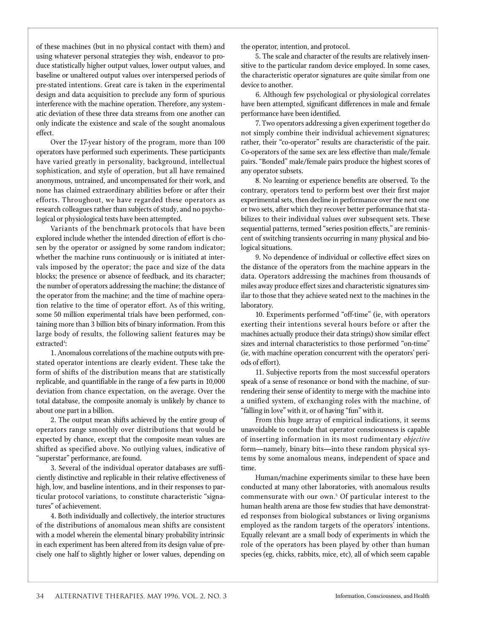of these machines (but in no physical contact with them) and using whatever personal strategies they wish, endeavor to produce statistically higher output values, lower output values, and baseline or unaltered output values over interspersed periods of pre-stated intentions. Great care is taken in the experimental design and data acquisition to preclude any form of spurious interference with the machine operation. Therefore, any systematic deviation of these three data streams from one another can only indicate the existence and scale of the sought anomalous effect.

Over the 17-year history of the program, more than 100 operators have performed such experiments. These participants have varied greatly in personality, background, intellectual sophistication, and style of operation, but all have remained anonymous, untrained, and uncompensated for their work, and none has claimed extraordinary abilities before or after their efforts. Throughout, we have regarded these operators as research colleagues rather than subjects of study, and no psychological or physiological tests have been attempted.

Variants of the benchmark protocols that have been explored include whether the intended direction of effort is chosen by the operator or assigned by some random indicator; whether the machine runs continuously or is initiated at intervals imposed by the operator; the pace and size of the data blocks; the presence or absence of feedback, and its character; the number of operators addressing the machine; the distance of the operator from the machine; and the time of machine operation relative to the time of operator effort. As of this writing, some 50 million experimental trials have been performed, containing more than 3 billion bits of binary information. From this large body of results, the following salient features may be extracted<sup>4</sup>:

1. Anomalous correlations of the machine outputs with prestated operator intentions are clearly evident. These take the form of shifts of the distribution means that are statistically replicable, and quantifiable in the range of a few parts in 10,000 deviation from chance expectation, on the average. Over the total database, the composite anomaly is unlikely by chance to about one part in a billion.

2. The output mean shifts achieved by the entire group of operators range smoothly over distributions that would be expected by chance, except that the composite mean values are shifted as specified above. No outlying values, indicative of "superstar" performance, are found.

3. Several of the individual operator databases are sufficiently distinctive and replicable in their relative effectiveness of high, low, and baseline intentions, and in their responses to particular protocol variations, to constitute characteristic "signatures" of achievement.

4. Both individually and collectively, the interior structures of the distributions of anomalous mean shifts are consistent with a model wherein the elemental binary probability intrinsic in each experiment has been altered from its design value of precisely one half to slightly higher or lower values, depending on the operator, intention, and protocol.

5. The scale and character of the results are relatively insensitive to the particular random device employed. In some cases, the characteristic operator signatures are quite similar from one device to another.

6. Although few psychological or physiological correlates have been attempted, significant differences in male and female performance have been identified.

7. Two operators addressing a given experiment together do not simply combine their individual achievement signatures; rather, their "co-operator" results are characteristic of the pair. Co-operators of the same sex are less effective than male/female pairs. "Bonded" male/female pairs produce the highest scores of any operator subsets.

8. No learning or experience benefits are observed. To the contrary, operators tend to perform best over their first major experimental sets, then decline in performance over the next one or two sets, after which they recover better performance that sta bilizes to their individual values over subsequent sets. These sequential patterns, termed "series position effects," are reminiscent of switching transients occurring in many physical and biological situations.

9. No dependence of individual or collective effect sizes on the distance of the operators from the machine appears in the data. Operators addressing the machines from thousands of miles away produce effect sizes and characteristic signatures similar to those that they achieve seated next to the machines in the laboratory.

10. Experiments performed "off-time" (ie, with operators exerting their intentions several hours before or after the machines actually produce their data strings) show similar effect sizes and internal characteristics to those performed "on-time" (ie, with machine operation concurrent with the operators' periods of effort).

11. Subjective reports from the most successful operators speak of a sense of resonance or bond with the machine, of surrendering their sense of identity to merge with the machine into a unified system, of exchanging roles with the machine, of "falling in love" with it, or of having "fun" with it.

From this huge array of empirical indications, it seems unavoidable to conclude that operator consciousness is capable of inserting information in its most rudimentary *objective* form—namely, binary bits—into these random physical systems by some anomalous means, independent of space and time.

Human/machine experiments similar to these have been conducted at many other laboratories, with anomalous results commensurate with our own.<sup>5</sup> Of particular interest to the human health arena are those few studies that have demonstrated responses from biological substances or living organisms employed as the random targets of the operators' intentions. Equally relevant are a small body of experiments in which the role of the operators has been played by other than human species (eg, chicks, rabbits, mice, etc), all of which seem capable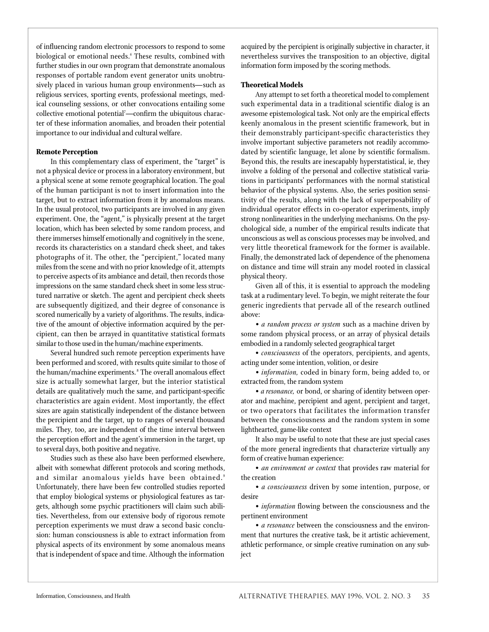of influencing random electronic processors to respond to some biological or emotional needs.<sup>6</sup> These results, combined with further studies in our own program that demonstrate anomalous responses of portable random event generator units unobtrusively placed in various human group environments—such as religious services, sporting events, professional meetings, medical counseling sessions, or other convocations entailing some collective emotional potential7—confirm the ubiquitous character of these information anomalies, and broaden their potential importance to our individual and cultural welfare.

#### **Remote Perception**

In this complementary class of experiment, the "target" is not a physical device or process in a laboratory environment, but a physical scene at some remote geographical location. The goal of the human participant is not to insert information into the target, but to extract information from it by anomalous means. In the usual protocol, two participants are involved in any given experiment. One, the "agent," is physically present at the target location, which has been selected by some random process, and there immerses himself emotionally and cognitively in the scene, records its characteristics on a standard check sheet, and takes photographs of it. The other, the "percipient," located many miles from the scene and with no prior knowledge of it, attempts to perceive aspects of its ambiance and detail, then records those impressions on the same standard check sheet in some less structured narrative or sketch. The agent and percipient check sheets are subsequently digitized, and their degree of consonance is scored numerically by a variety of algorithms. The results, indicative of the amount of objective information acquired by the percipient, can then be arrayed in quantitative statistical formats similar to those used in the human/machine experiments.

Several hundred such remote perception experiments have been performed and scored, with results quite similar to those of the human/machine experiments. <sup>8</sup> The overall anomalous effect size is actually somewhat larger, but the interior statistical details are qualitatively much the same, and participant-specific characteristics are again evident. Most importantly, the effect sizes are again statistically independent of the distance between the percipient and the target, up to ranges of several thousand miles. They, too, are independent of the time interval between the perception effort and the agent's immersion in the target, up to several days, both positive and negative.

Studies such as these also have been performed elsewhere, albeit with somewhat different protocols and scoring methods, and similar anomalous yields have been obtained.<sup>9</sup> Unfortunately, there have been few controlled studies reported that employ biological systems or physiological features as targets, although some psychic practitioners will claim such abilities. Nevertheless, from our extensive body of rigorous remote perception experiments we must draw a second basic conclusion: human consciousness is able to extract information from physical aspects of its environment by some anomalous means that is independent of space and time. Although the information

acquired by the percipient is originally subjective in character, it nevertheless survives the transposition to an objective, digital information form imposed by the scoring methods.

#### **Theoretical Models**

Any attempt to set forth a theoretical model to complement such experimental data in a traditional scientific dialog is an awesome epistemological task. Not only are the empirical effects keenly anomalous in the present scientific framework, but in their demonstrably participant-specific characteristics they involve important subjective parameters not readily accommodated by scientific language, let alone by scientific formalism. Beyond this, the results are inescapably hyperstatistical, ie, they involve a folding of the personal and collective statistical variations in participants' performances with the normal statistical behavior of the physical systems. Also, the series position sensitivity of the results, along with the lack of superposability of individual operator effects in co-operator experiments, imply strong nonlinearities in the underlying mechanisms. On the psychological side, a number of the empirical results indicate that unconscious as well as conscious processes may be involved, and very little theoretical framework for the former is available. Finally, the demonstrated lack of dependence of the phenomena on distance and time will strain any model rooted in classical physical theory.

Given all of this, it is essential to approach the modeling task at a rudimentary level. To begin, we might reiterate the four generic ingredients that pervade all of the research outlined above:

• *a random process or system* such as a machine driven by some random physical process, or an array of physical details embodied in a randomly selected geographical target

• *consciousness* of the operators, percipients, and agents, acting under some intention, volition, or desire

• *information*, coded in binary form, being added to, or extracted from, the random system

• *a resonance,* or bond, or sharing of identity between operator and machine, percipient and agent, percipient and target, or two operators that facilitates the information transfer between the consciousness and the random system in some lighthearted, game-like context

It also may be useful to note that these are just special cases of the more general ingredients that characterize virtually any form of creative human experience:

• *an environment or context* that provides raw material for the creation

• *a consciousness* driven by some intention, purpose, or desire

• *information* flowing between the consciousness and the pertinent environment

• *a resonance* between the consciousness and the environment that nurtures the creative task, be it artistic achievement, athletic performance, or simple creative rumination on any subject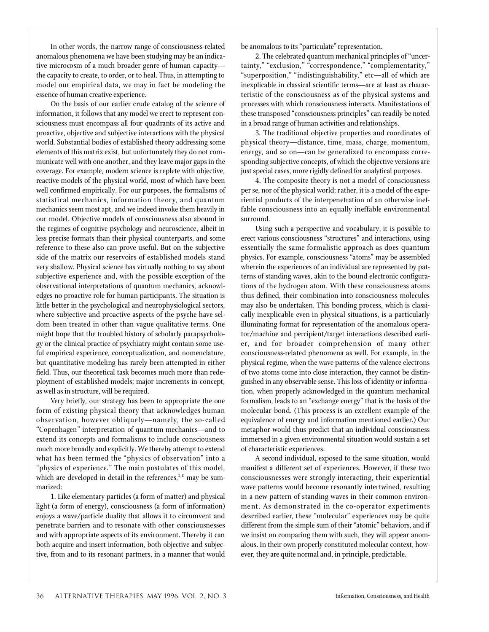In other words, the narrow range of consciousness-related anomalous phenomena we have been studying may be an indicative microcosm of a much broader genre of human capacity the capacity to create, to order, or to heal. Thus, in attempting to model our empirical data, we may in fact be modeling the essence of human creative experience.

On the basis of our earlier crude catalog of the science of information, it follows that any model we erect to represent consciousness must encompass all four quadrants of its active and proactive, objective and subjective interactions with the physical world. Substantial bodies of established theory addressing some elements of this matrix exist, but unfortunately they do not communicate well with one another, and they leave major gaps in the coverage. For example, modern science is replete with objective, reactive models of the physical world, most of which have been well confirmed empirically. For our purposes, the formalisms of statistical mechanics, information theory, and quantum mechanics seem most apt, and we indeed invoke them heavily in our model. Objective models of consciousness also abound in the regimes of cognitive psychology and neuroscience, albeit in less precise formats than their physical counterparts, and some reference to these also can prove useful. But on the subjective side of the matrix our reservoirs of established models stand very shallow. Physical science has virtually nothing to say about subjective experience and, with the possible exception of the observational interpretations of quantum mechanics, acknowledges no proactive role for human participants. The situation is little better in the psychological and neurophysiological sectors, where subjective and proactive aspects of the psyche have seldom been treated in other than vague qualitative terms. One might hope that the troubled history of scholarly parapsychology or the clinical practice of psychiatry might contain some useful empirical experience, conceptualization, and nomenclature, but quantitative modeling has rarely been attempted in either field. Thus, our theoretical task becomes much more than redeployment of established models; major increments in concept, as well as in structure, will be required.

Very briefly, our strategy has been to appropriate the one form of existing physical theory that acknowledges human observation, however obliquely-namely, the so-called "Copenhagen" interpretation of quantum mechanics-and to extend its concepts and formalisms to include consciousness much more broadly and explicitly. We thereby attempt to extend what has been termed the "physics of observation" into a "physics of experience." The main postulates of this model, which are developed in detail in the references, $3,10$  may be summarized:

1. Like elementary particles (a form of matter) and physical light (a form of energy), consciousness (a form of information) enjoys a wave/particle duality that allows it to circumvent and penetrate barriers and to resonate with other consciousnesses and with appropriate aspects of its environment. Thereby it can both acquire and insert information, both objective and subjective, from and to its resonant partners, in a manner that would be anomalous to its "particulate" representation.

2. The celebrated quantum mechanical principles of "uncertainty," "exclusion," "correspondence," "complementarity," "superposition," "indistinguishability," etc—all of which are inexplicable in classical scientific terms-are at least as characteristic of the consciousness as of the physical systems and processes with which consciousness interacts. Manifestations of these transposed "consciousness principles" can readily be noted in a broad range of human activities and relationships.

3. The traditional objective properties and coordinates of physical theory—distance, time, mass, charge, momentum, energy, and so on—can be generalized to encompass corresponding subjective concepts, of which the objective versions are just special cases, more rigidly defined for analytical purposes.

4. The composite theory is not a model of consciousness per se, nor of the physical world; rather, it is a model of the experiential products of the interpenetration of an otherwise ineffable consciousness into an equally ineffable environmental surround.

Using such a perspective and vocabulary, it is possible to erect various consciousness "structures" and interactions, using essentially the same formalistic approach as does quantum physics. For example, consciousness "atoms" may be assembled wherein the experiences of an individual are represented by patterns of standing waves, akin to the bound electronic configurations of the hydrogen atom. With these consciousness atoms thus defined, their combination into consciousness molecules may also be undertaken. This bonding process, which is classically inexplicable even in physical situations, is a particularly illuminating format for representation of the anomalous operator/machine and percipient/target interactions described earlier, and for broader comprehension of many other consciousness-related phenomena as well. For example, in the physical regime, when the wave patterns of the valence electrons of two atoms come into close interaction, they cannot be distinguished in any observable sense. This loss of identity or information, when properly acknowledged in the quantum mechanical formalism, leads to an "exchange energy" that is the basis of the molecular bond. (This process is an excellent example of the equivalence of energy and information mentioned earlier.) Our metaphor would thus predict that an individual consciousness immersed in a given environmental situation would sustain a set of characteristic experiences.

A second individual, exposed to the same situation, would manifest a different set of experiences. However, if these two consciousnesses were strongly interacting, their experiential wave patterns would become resonantly intertwined, resulting in a new pattern of standing waves in their common environment. As demonstrated in the co-operator experiments described earlier, these "molecular" experiences may be quite different from the simple sum of their "atomic" behaviors, and if we insist on comparing them with such, they will appear anomalous. In their own properly constituted molecular context, however, they are quite normal and, in principle, predictable.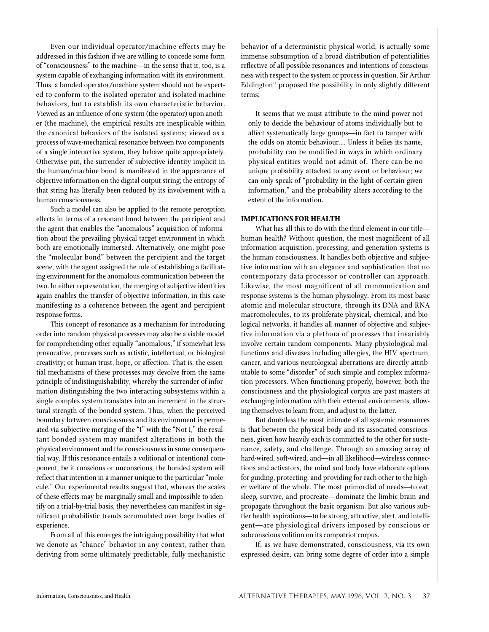Even our individual operator/machine effects may be addressed in this fashion if we are willing to concede some form of "consciousness" to the machine—in the sense that it, too, is a system capable of exchanging information with its environment. Thus, a bonded operator/machine system should not be expected to conform to the isolated operator and isolated machine behaviors, but to establish its own characteristic behavior. Viewed as an influence of one system (the operator) upon another (the machine), the empirical results are inexplicable within the canonical behaviors of the isolated systems; viewed as a process of wave-mechanical resonance between two components of a single interactive system, they behave quite appropriately. Otherwise put, the surrender of subjective identity implicit in the human/machine bond is manifested in the appearance of objective information on the digital output string; the entropy of that string has literally been reduced by its involvement with a human consciousness.

Such a model can also be applied to the remote perception effects in terms of a resonant bond between the percipient and the agent that enables the "anomalous" acquisition of information about the prevailing physical target environment in which both are emotionally immersed. Alternatively, one might pose the "molecular bond" between the percipient and the target scene, with the agent assigned the role of establishing a facilitating environment for the anomalous communication between the two. In either representation, the merging of subjective identities again enables the transfer of objective information, in this case manifesting as a coherence between the agent and percipient response forms.

This concept of resonance as a mechanism for introducing order into random physical processes may also be a viable model for comprehending other equally "anomalous," if somewhat less provocative, processes such as artistic, intellectual, or biological creativity; or human trust, hope, or affection. That is, the essential mechanisms of these processes may devolve from the same principle of indistinguishability, whereby the surrender of information distinguishing the two interacting subsystems within a single complex system translates into an increment in the structural strength of the bonded system. Thus, when the perceived boundary between consciousness and its environment is permeated via subjective merging of the "I" with the "Not I," the resultant bonded system may manifest alterations in both the physical environment and the consciousness in some consequential way. If this resonance entails a volitional or intentional component, be it conscious or unconscious, the bonded system will reflect that intention in a manner unique to the particular "molecule." Our experimental results suggest that, whereas the scales of these effects may be marginally small and impossible to identify on a trial-by-trial basis, they nevertheless can manifest in significant probabilistic trends accumulated over large bodies of experience.

From all of this emerges the intriguing possibility that what we denote as "chance" behavior in any context, rather than deriving from some ultimately predictable, fully mechanistic behavior of a deterministic physical world, is actually some immense subsumption of a broad distribution of potentialities reflective of all possible resonances and intentions of consciousness with respect to the system or process in question. Sir Arthur Eddington<sup>11</sup> proposed the possibility in only slightly different terms:

It seems that we must attribute to the mind power not only to decide the behaviour of atoms individually but to affect systematically large groups—in fact to tamper with the odds on atomic behaviour.... Unless it belies its name, probability can be modified in ways in which ordinary physical entities would not admit of. There can be no unique probability attached to any event or behaviour; we can only speak of "probability in the light of certain given information," and the probability alters according to the extent of the information.

### **IMPLICATIONS FOR HEALTH**

What has all this to do with the third element in our title human health? Without question, the most magnificent of all information acquisition, processing, and generation systems is the human consciousness. It handles both objective and subjective information with an elegance and sophistication that no contemporary data processor or controller can approach. Likewise, the most magnificent of all communication and response systems is the human physiology. From its most basic atomic and molecular structure, through its DNA and RNA macromolecules, to its proliferate physical, chemical, and biological networks, it handles all manner of objective and subjective information via a plethora of processes that invariably involve certain random components. Many physiological malfunctions and diseases including allergies, the HIV spectrum, cancer, and various neurological aberrations are directly attributable to some "disorder" of such simple and complex information processors. When functioning properly, however, both the consciousness and the physiological corpus are past masters at exchanging information with their external environments, allowing themselves to learn from, and adjust to, the latter.

But doubtless the most intimate of all systemic resonances is that between the physical body and its associated consciousness, given how heavily each is committed to the other for sustenance, safety, and challenge. Through an amazing array of hard-wired, soft-wired, and—in all likelihood—wireless connections and activators, the mind and body have elaborate options for guiding, protecting, and providing for each other to the higher welfare of the whole. The most primordial of needs--to eat, sleep, survive, and procreate—dominate the limbic brain and propagate throughout the basic organism. But also various subtler health aspirations—to be strong, attractive, alert, and intelligent-are physiological drivers imposed by conscious or subconscious volition on its compatriot corpus.

If, as we have demonstrated, consciousness, via its own expressed desire, can bring some degree of order into a simple